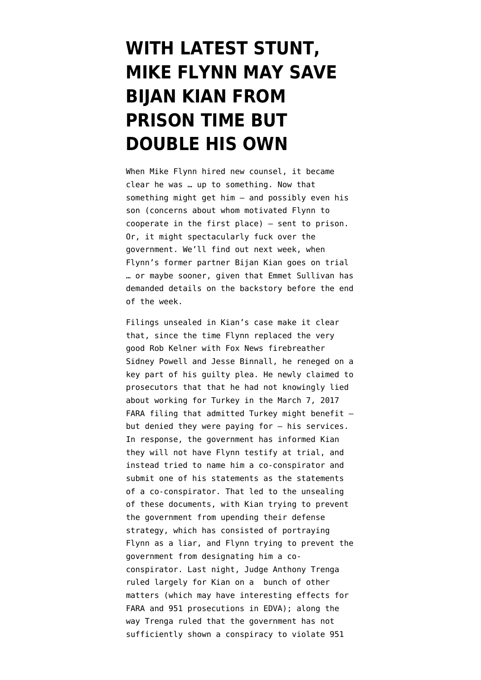## **[WITH LATEST STUNT,](https://www.emptywheel.net/2019/07/10/with-latest-stunt-mike-flynn-may-save-bijan-kian-from-prison-time-but-double-his-own/) [MIKE FLYNN MAY SAVE](https://www.emptywheel.net/2019/07/10/with-latest-stunt-mike-flynn-may-save-bijan-kian-from-prison-time-but-double-his-own/) [BIJAN KIAN FROM](https://www.emptywheel.net/2019/07/10/with-latest-stunt-mike-flynn-may-save-bijan-kian-from-prison-time-but-double-his-own/) [PRISON TIME BUT](https://www.emptywheel.net/2019/07/10/with-latest-stunt-mike-flynn-may-save-bijan-kian-from-prison-time-but-double-his-own/) [DOUBLE HIS OWN](https://www.emptywheel.net/2019/07/10/with-latest-stunt-mike-flynn-may-save-bijan-kian-from-prison-time-but-double-his-own/)**

When Mike Flynn hired new counsel, it became clear he was … up to something. Now that something might get him — and possibly even his son (concerns about whom motivated Flynn to cooperate in the first place) — sent to prison. Or, it might spectacularly fuck over the government. We'll find out next week, when Flynn's former partner Bijan Kian goes on trial … or maybe sooner, given that Emmet Sullivan has demanded details on the backstory before the end of the week.

Filings unsealed in Kian's case make it clear that, since the time Flynn replaced the very good Rob Kelner with Fox News firebreather Sidney Powell and Jesse Binnall, he reneged on a key part of his guilty plea. He [newly claimed](https://www.courtlistener.com/recap/gov.uscourts.vaed.400989/gov.uscourts.vaed.400989.262.4.pdf) to prosecutors that that he had not knowingly lied about working for Turkey in the March 7, 2017 FARA filing that admitted Turkey might benefit  $$ but denied they were paying for — his services. In response, the government has [informed](https://www.courtlistener.com/recap/gov.uscourts.vaed.400989/gov.uscourts.vaed.400989.261.0.pdf) Kian they will not have Flynn testify at trial, and instead tried to name him a co-conspirator and submit one of his statements as the statements of a co-conspirator. That led to the unsealing of these documents, with Kian [trying](https://www.courtlistener.com/recap/gov.uscourts.vaed.400989/gov.uscourts.vaed.400989.262.0.pdf) to prevent the government from upending their defense strategy, which has consisted of portraying Flynn as a liar, and Flynn [trying](https://www.courtlistener.com/recap/gov.uscourts.vaed.400989/gov.uscourts.vaed.400989.270.0.pdf) to prevent the government from designating him a coconspirator. Last night, Judge Anthony Trenga [ruled](https://www.courtlistener.com/recap/gov.uscourts.vaed.400989/gov.uscourts.vaed.400989.292.0.pdf) largely for Kian on a bunch of other matters (which may have interesting effects for FARA and 951 prosecutions in EDVA); along the way Trenga ruled that the government has not sufficiently shown a conspiracy to violate 951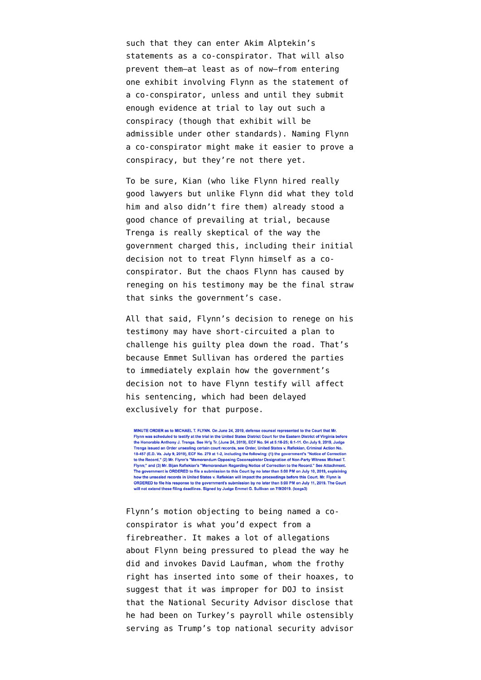such that they can enter Akim Alptekin's statements as a co-conspirator. That will also prevent them–at least as of now–from entering one exhibit involving Flynn as the statement of a co-conspirator, unless and until they submit enough evidence at trial to lay out such a conspiracy (though that exhibit will be admissible under other standards). Naming Flynn a co-conspirator might make it easier to prove a conspiracy, but they're not there yet.

To be sure, Kian (who like Flynn hired really good lawyers but unlike Flynn did what they told him and also didn't fire them) already stood a good chance of prevailing at trial, because Trenga [is really skeptical](https://www.politico.com/blogs/under-the-radar/2019/06/28/bijan-kian-michael-flynn-1390390) of the way the government charged this, including their initial decision not to treat Flynn himself as a coconspirator. But the chaos Flynn has caused by reneging on his testimony may be the final straw that sinks the government's case.

All that said, Flynn's decision to renege on his testimony may have short-circuited a plan to challenge his guilty plea down the road. That's because Emmet Sullivan has ordered the parties to immediately explain how the government's decision not to have Flynn testify will affect his sentencing, which had been delayed exclusively for that purpose.

MINUTE ORDER as to MICHAEL T. FLYNN. On June 24, 2019, defense counsel represented to the Court that Mr. Flynn was scheduled to testify at the trial in the United States District Court for the Eastern District of Virginia before ionorable Anthony J. Trenga. See Hr'g Tr. (June 24, 2019), ECF No. 94 at 5:18-25; 6:1-11. On July 9, 2019, Judge Trenga issued an Order unsealing certain court records, see Order, United States v. Rafiekian, Criminal Action No. 18-457 (E.D. Va. July 9, 2019), ECF No. 279 at 1-2, including the following: (1) the government's "Notice of Correction to the Record," (2) Mr. Flynn's "Memorandum Opposing Coconspirator Designation of Non-Party Witness Michael T.<br>Flynn;" and (3) Mr. Bijan Rafiekian's "Memorandum Regarding Notice of Correction to the Record." See Attachment The government is ORDERED to file a submission to this Court by no later than 5:00 PM on July 10, 2019, explaining how the unsealed records in United States v. Rafiekian will impact the proceedings before this Court. Mr. Flynn is ORDERED to file his response to the government's submission by no later than 5:00 PM on July 11, 2019. The Court will not extend these filing deadlines. Signed by Judge Emmet G. Sullivan on 7/9/2019. (Icegs3)

Flynn's [motion](https://www.courtlistener.com/recap/gov.uscourts.vaed.400989/gov.uscourts.vaed.400989.270.0.pdf) objecting to being named a coconspirator is what you'd expect from a firebreather. It makes a lot of allegations about Flynn being pressured to plead the way he did and invokes David Laufman, whom the frothy right has [inserted](https://twitchy.com/brettt-3136/2018/02/08/hugh-hewitt-explains-why-top-doj-chiefs-sudden-resignation-is-a-big-deal/) into some of their hoaxes, to suggest that it was improper for DOJ to insist that the National Security Advisor disclose that he had been on Turkey's payroll while ostensibly serving as Trump's top national security advisor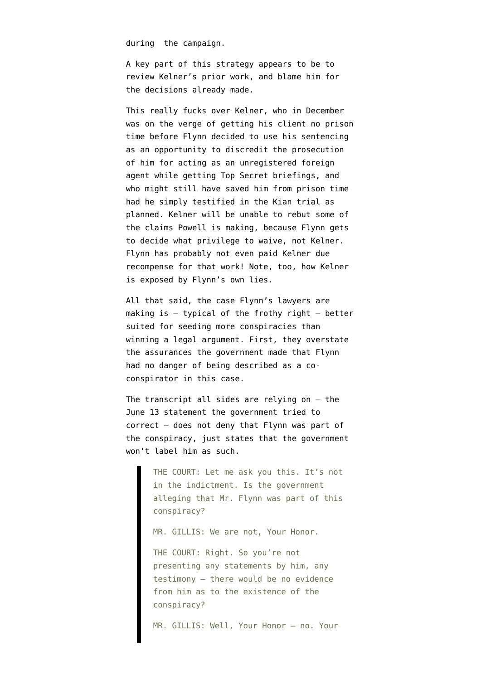during the campaign.

A key part of this strategy appears to be to review Kelner's prior work, and blame him for the decisions already made.

This really fucks over Kelner, who in December was on the verge of getting his client no prison time before Flynn [decided to use](https://www.emptywheel.net/2018/12/17/mike-flynn-steps-in-it-in-a-bid-to-feed-the-frothy-right-he-leads-to-damning-new-details-showing-he-lied-to-protect-trump/) his sentencing as an opportunity to discredit the prosecution of him for acting as an unregistered foreign agent while getting Top Secret briefings, and who might still have saved him from prison time had he simply testified in the Kian trial as planned. Kelner will be unable to rebut some of the claims Powell is making, because Flynn gets to decide what privilege to waive, not Kelner. Flynn has probably not even paid Kelner due recompense for that work! Note, too, how Kelner [is exposed by Flynn's own lies.](https://www.emptywheel.net/2018/12/19/rob-kelner-the-guy-who-signed-flynns-fara-filings-continued-to-be-insubordinate-in-yesterdays-hearing/)

All that said, the case Flynn's lawyers are making is  $-$  typical of the frothy right  $-$  better suited for seeding more conspiracies than winning a legal argument. First, they overstate the assurances the government made that Flynn had no danger of being described as a coconspirator in this case.

The transcript all sides are relying on — the [June 13 statement](https://www.courtlistener.com/recap/gov.uscourts.vaed.400989/gov.uscourts.vaed.400989.261.0.pdf) the government tried to correct — does not deny that Flynn was part of the conspiracy, just states that the government won't label him as such.

> THE COURT: Let me ask you this. It's not in the indictment. Is the government alleging that Mr. Flynn was part of this conspiracy?

MR. GILLIS: We are not, Your Honor.

THE COURT: Right. So you're not presenting any statements by him, any testimony – there would be no evidence from him as to the existence of the conspiracy?

MR. GILLIS: Well, Your Honor – no. Your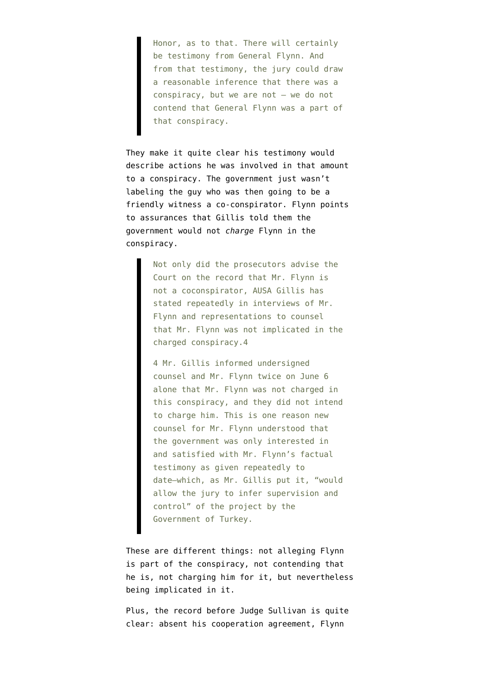Honor, as to that. There will certainly be testimony from General Flynn. And from that testimony, the jury could draw a reasonable inference that there was a conspiracy, but we are not – we do not contend that General Flynn was a part of that conspiracy.

They make it quite clear his testimony would describe actions he was involved in that amount to a conspiracy. The government just wasn't labeling the guy who was then going to be a friendly witness a co-conspirator. Flynn points to assurances that Gillis told them the government would not *charge* Flynn in the conspiracy.

> Not only did the prosecutors advise the Court on the record that Mr. Flynn is not a coconspirator, AUSA Gillis has stated repeatedly in interviews of Mr. Flynn and representations to counsel that Mr. Flynn was not implicated in the charged conspiracy.4

> 4 Mr. Gillis informed undersigned counsel and Mr. Flynn twice on June 6 alone that Mr. Flynn was not charged in this conspiracy, and they did not intend to charge him. This is one reason new counsel for Mr. Flynn understood that the government was only interested in and satisfied with Mr. Flynn's factual testimony as given repeatedly to date–which, as Mr. Gillis put it, "would allow the jury to infer supervision and control" of the project by the Government of Turkey.

These are different things: not alleging Flynn is part of the conspiracy, not contending that he is, not charging him for it, but nevertheless being implicated in it.

Plus, [the record before Judge Sullivan](https://www.justsecurity.org/wp-content/uploads/2018/12/121818am-USA-v-Michael-Flynn-Sentencing.pdf) is quite clear: absent his cooperation agreement, Flynn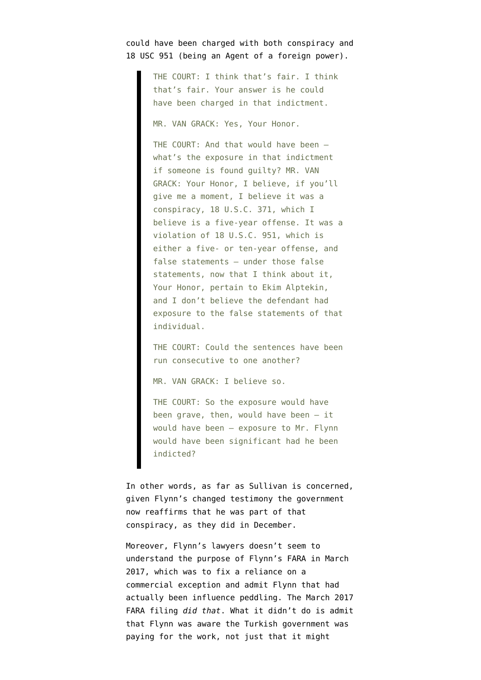## could have been charged with both conspiracy and 18 USC 951 (being an Agent of a foreign power).

THE COURT: I think that's fair. I think that's fair. Your answer is he could have been charged in that indictment.

MR. VAN GRACK: Yes, Your Honor.

THE COURT: And that would have been what's the exposure in that indictment if someone is found guilty? MR. VAN GRACK: Your Honor, I believe, if you'll give me a moment, I believe it was a conspiracy, 18 U.S.C. 371, which I believe is a five-year offense. It was a violation of 18 U.S.C. 951, which is either a five- or ten-year offense, and false statements — under those false statements, now that I think about it, Your Honor, pertain to Ekim Alptekin, and I don't believe the defendant had exposure to the false statements of that individual.

THE COURT: Could the sentences have been run consecutive to one another?

MR. VAN GRACK: I believe so.

THE COURT: So the exposure would have been grave, then, would have been  $-$  it would have been — exposure to Mr. Flynn would have been significant had he been indicted?

In other words, as far as Sullivan is concerned, given Flynn's changed testimony the government now reaffirms that he was part of that conspiracy, as they did in December.

Moreover, Flynn's lawyers doesn't seem to understand the purpose of Flynn's FARA in March 2017, which was to fix a reliance on a commercial exception and admit Flynn that had actually been influence peddling. The [March 2017](https://www.courtlistener.com/recap/gov.uscourts.vaed.400989/gov.uscourts.vaed.400989.262.3.pdf) [FARA filing](https://www.courtlistener.com/recap/gov.uscourts.vaed.400989/gov.uscourts.vaed.400989.262.3.pdf) *did that*. What it didn't do is admit that Flynn was aware the Turkish government was paying for the work, not just that it might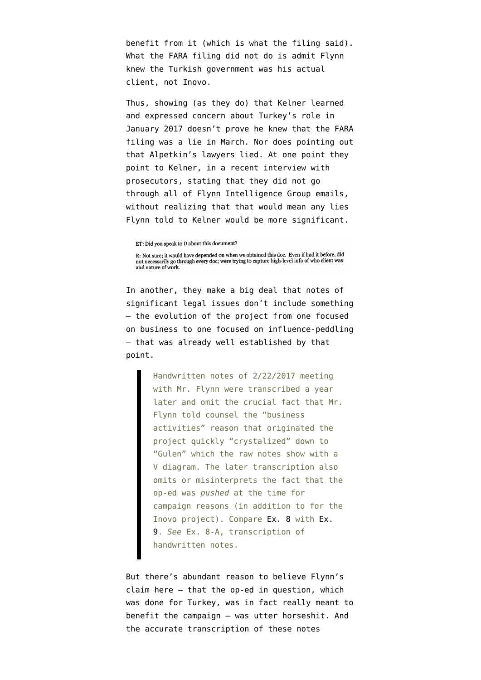benefit from it (which is what the filing said). What the FARA filing did not do is admit Flynn knew the Turkish government was his actual client, not Inovo.

Thus, showing (as they do) that Kelner learned and expressed concern about Turkey's role in January 2017 doesn't prove he knew that the FARA filing was a lie in March. Nor does pointing out that Alpetkin's lawyers lied. At one point they point to Kelner, in a [recent interview](https://www.documentcloud.org/documents/6186852-190529-Kelner-Interview.html) with prosecutors, stating that they did not go through all of Flynn Intelligence Group emails, without realizing that that would mean any lies Flynn told to Kelner would be more significant.

ET: Did you speak to D about this document?

R: Not sure; it would have depended on when we obtained this doc. Even if had it before, did not necessarily go through every doc; were trying to capture high-level info of who client was and nature of work.

In another, they make a big deal that notes of significant legal issues don't include something — the evolution of the project from one focused on business to one focused on influence-peddling — that was already well established by that point.

> Handwritten notes of 2/22/2017 meeting with Mr. Flynn were transcribed a year later and omit the crucial fact that Mr. Flynn told counsel the "business activities" reason that originated the project quickly "crystalized" down to "Gulen" which the raw notes show with a V diagram. The later transcription also omits or misinterprets the fact that the op-ed was *pushed* at the time for campaign reasons (in addition to for the Inovo project). Compare [Ex. 8](https://www.documentcloud.org/documents/6186856-170222-Flynn-Notes.html) with [Ex.](https://www.documentcloud.org/documents/6186392-180211-Flynn-Transcript-Transcription.html) [9.](https://www.documentcloud.org/documents/6186392-180211-Flynn-Transcript-Transcription.html) *See* Ex. 8-A, transcription of handwritten notes.

But there's abundant reason to believe Flynn's claim here — that the op-ed in question, which was done for Turkey, was in fact really meant to benefit the campaign — was utter horseshit. And the accurate [transcription](https://www.documentcloud.org/documents/6186392-180211-Flynn-Transcript-Transcription.html) of [these notes](https://www.documentcloud.org/documents/6186856-170222-Flynn-Notes.html)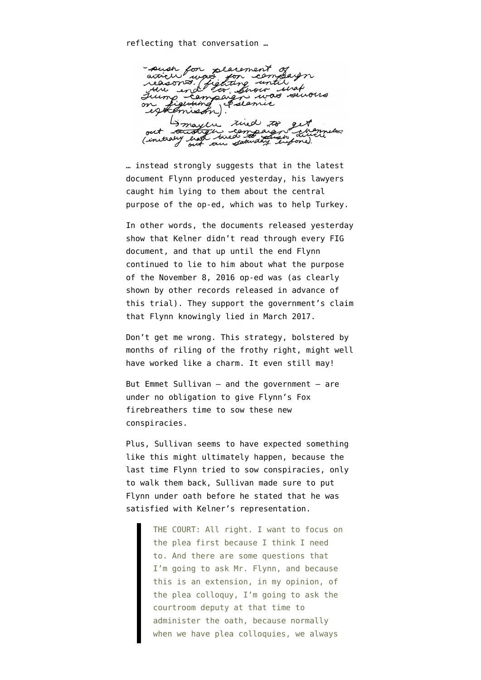-such for placement<br>article was for cer placement<br>no for con<br>fighting un was reasons. ceasons. uraf *Snow* n mas seivoir  $111$ Eslamic eltim essette Smayer rued to the compaign out tant L. Cinitially ou saturday eigened.

… instead strongly suggests that in the latest document Flynn produced yesterday, his lawyers caught him lying to them about the central purpose of the op-ed, which was to help Turkey.

In other words, the documents released yesterday show that Kelner didn't read through every FIG document, and that up until the end Flynn continued to lie to him about what the purpose of the November 8, 2016 op-ed was (as clearly shown by other records released in advance of this trial). They support the government's claim that Flynn knowingly lied in March 2017.

Don't get me wrong. This strategy, bolstered by months of riling of the frothy right, might well have worked like a charm. It even still may!

But Emmet Sullivan — and the government — are under no obligation to give Flynn's Fox firebreathers time to sow these new conspiracies.

Plus, Sullivan seems to have expected something like this might ultimately happen, because the last time Flynn tried to sow conspiracies, only to walk them back, Sullivan [made sure to put](https://www.justsecurity.org/wp-content/uploads/2018/12/121818am-USA-v-Michael-Flynn-Sentencing.pdf) [Flynn under oath](https://www.justsecurity.org/wp-content/uploads/2018/12/121818am-USA-v-Michael-Flynn-Sentencing.pdf) before he stated that he was satisfied with Kelner's representation.

> THE COURT: All right. I want to focus on the plea first because I think I need to. And there are some questions that I'm going to ask Mr. Flynn, and because this is an extension, in my opinion, of the plea colloquy, I'm going to ask the courtroom deputy at that time to administer the oath, because normally when we have plea colloquies, we always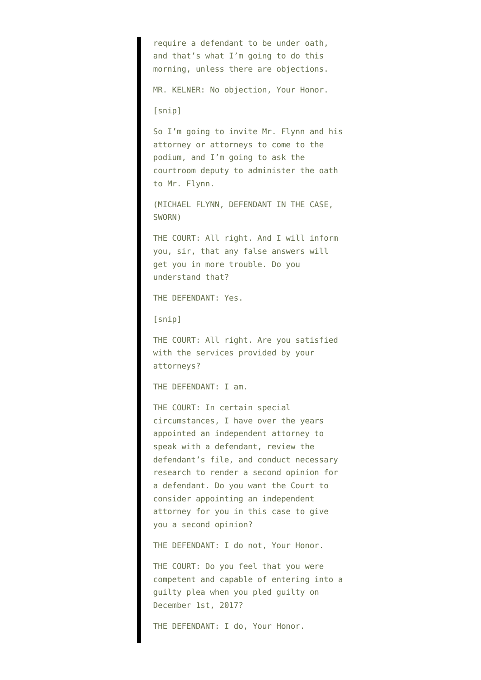require a defendant to be under oath, and that's what I'm going to do this morning, unless there are objections. MR. KELNER: No objection, Your Honor. [snip] So I'm going to invite Mr. Flynn and his attorney or attorneys to come to the podium, and I'm going to ask the courtroom deputy to administer the oath to Mr. Flynn. (MICHAEL FLYNN, DEFENDANT IN THE CASE, SWORN) THE COURT: All right. And I will inform you, sir, that any false answers will get you in more trouble. Do you understand that? THE DEFENDANT: Yes. [snip] THE COURT: All right. Are you satisfied with the services provided by your attorneys? THE DEFENDANT: I am. THE COURT: In certain special circumstances, I have over the years appointed an independent attorney to speak with a defendant, review the defendant's file, and conduct necessary research to render a second opinion for a defendant. Do you want the Court to consider appointing an independent attorney for you in this case to give you a second opinion?

THE DEFENDANT: I do not, Your Honor.

THE COURT: Do you feel that you were competent and capable of entering into a guilty plea when you pled guilty on December 1st, 2017?

THE DEFENDANT: I do, Your Honor.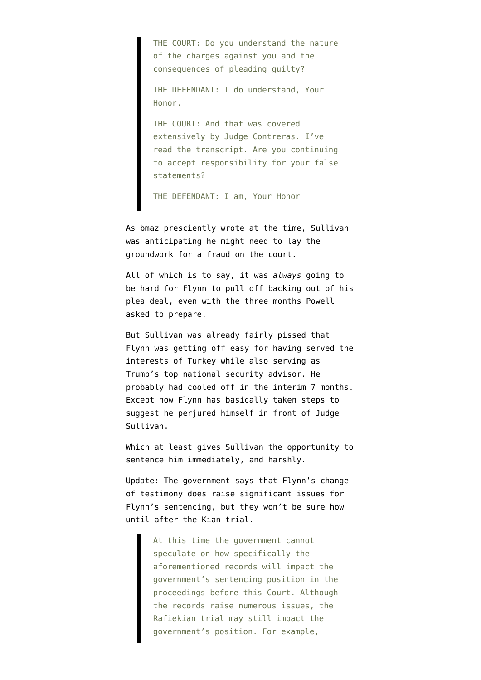THE COURT: Do you understand the nature of the charges against you and the consequences of pleading guilty?

THE DEFENDANT: I do understand, Your Honor.

THE COURT: And that was covered extensively by Judge Contreras. I've read the transcript. Are you continuing to accept responsibility for your false statements?

THE DEFENDANT: I am, Your Honor

As bmaz [presciently wrote](https://www.emptywheel.net/2018/12/18/judge-sullivan-was-prepared-for-potential-flynn-perjury-and-fraud-on-the-court/) at the time, Sullivan was anticipating he might need to lay the groundwork for a fraud on the court.

All of which is to say, it was *always* going to be hard for Flynn to pull off backing out of his plea deal, even with the three months Powell [asked](https://www.washingtonpost.com/local/legal-issues/new-michael-flynn-attorney-seeks-access-to-classified-information-as-flynn-awaits-sentencing/2019/06/24/a5d99ae6-969b-11e9-8d0a-5edd7e2025b1_story.html) to prepare.

But Sullivan was already fairly pissed that Flynn was getting off easy for having served the interests of Turkey while also serving as Trump's top national security advisor. He probably had cooled off in the interim 7 months. Except now Flynn has basically taken steps to suggest he perjured himself in front of Judge Sullivan.

Which at least gives Sullivan the opportunity to sentence him immediately, and harshly.

Update: The government [says](https://assets.documentcloud.org/documents/6187964/7-10-19-US-Reply-Flynn.pdf) that Flynn's change of testimony does raise significant issues for Flynn's sentencing, but they won't be sure how until after the Kian trial.

> At this time the government cannot speculate on how specifically the aforementioned records will impact the government's sentencing position in the proceedings before this Court. Although the records raise numerous issues, the Rafiekian trial may still impact the government's position. For example,